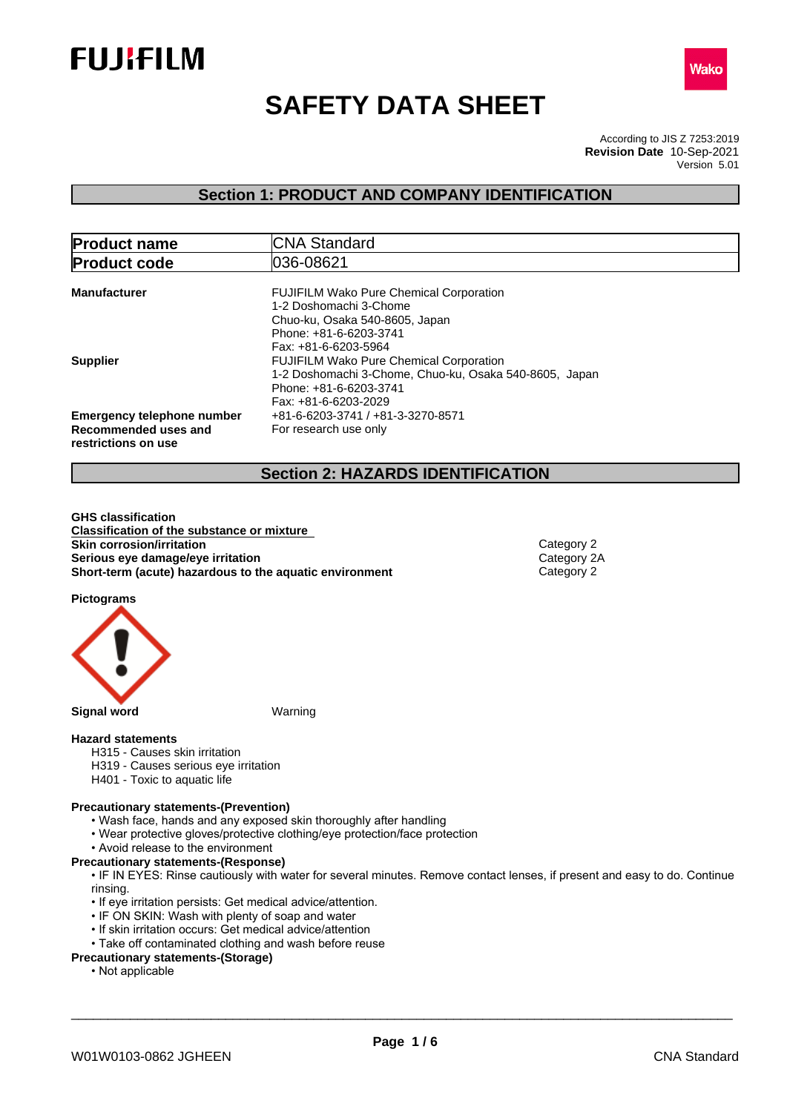



# **SAFETY DATA SHEET**

According to JIS Z 7253:2019 Version 5.01 **Revision Date** 10-Sep-2021

### **Section 1: PRODUCT AND COMPANY IDENTIFICATION**

| <b>Product name</b>                                                              | <b>CNA Standard</b>                                                                                                                                          |
|----------------------------------------------------------------------------------|--------------------------------------------------------------------------------------------------------------------------------------------------------------|
| <b>Product code</b>                                                              | 1036-08621                                                                                                                                                   |
| <b>Manufacturer</b>                                                              | <b>FUJIFILM Wako Pure Chemical Corporation</b><br>1-2 Doshomachi 3-Chome<br>Chuo-ku, Osaka 540-8605, Japan<br>Phone: +81-6-6203-3741<br>Fax: +81-6-6203-5964 |
| <b>Supplier</b>                                                                  | <b>FUJIFILM Wako Pure Chemical Corporation</b><br>1-2 Doshomachi 3-Chome, Chuo-ku, Osaka 540-8605, Japan<br>Phone: +81-6-6203-3741<br>Fax: +81-6-6203-2029   |
| <b>Emergency telephone number</b><br>Recommended uses and<br>restrictions on use | +81-6-6203-3741 / +81-3-3270-8571<br>For research use only                                                                                                   |

### **Section 2: HAZARDS IDENTIFICATION**

**GHS classification Classification of the substance or mixture Skin corrosion/irritation**<br> **Serious eye damage/eye irritation**<br>
Category 2A **Serious eye damage/eye irritation**<br> **Short-term (acute) hazardous to the aquatic environment** Category 2 **Short-term** (acute) hazardous to the aquatic environment

**Pictograms**



### **Hazard statements**

- H315 Causes skin irritation
- H319 Causes serious eye irritation
- H401 Toxic to aquatic life

### **Precautionary statements-(Prevention)**

- Wash face, hands and any exposed skin thoroughly after handling
- Wear protective gloves/protective clothing/eye protection/face protection
- Avoid release to the environment

### **Precautionary statements-(Response)**

• IF IN EYES: Rinse cautiously with water for several minutes. Remove contact lenses, if present and easy to do. Continue rinsing.

- If eye irritation persists: Get medical advice/attention.
- IF ON SKIN: Wash with plenty of soap and water
- If skin irritation occurs: Get medical advice/attention
- Take off contaminated clothing and wash before reuse

### **Precautionary statements-(Storage)**

• Not applicable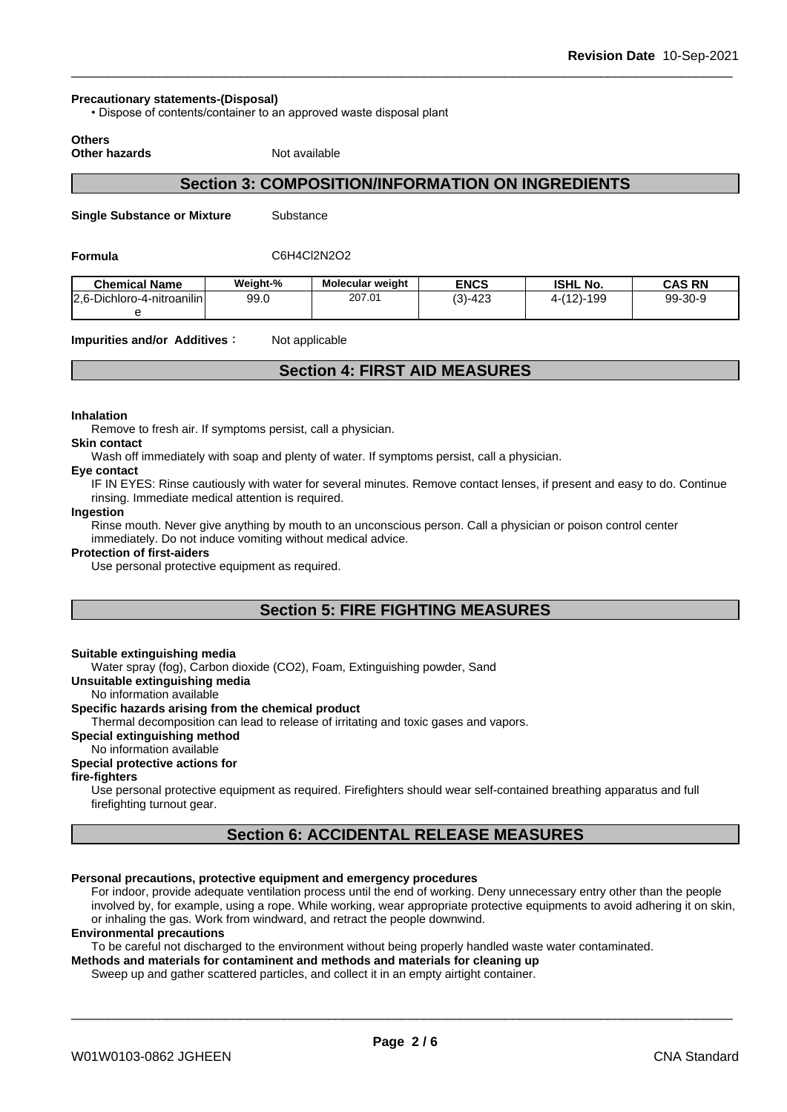#### **Precautionary statements-(Disposal)**

• Dispose of contents/container to an approved waste disposal plant

**Others**

**Other hazards** Not available

### **Section 3: COMPOSITION/INFORMATION ON INGREDIENTS**

**Single Substance or Mixture** Substance

**Formula** C6H4Cl2N2O2

| <b>Chemical Name</b>       | Weight-% | <b>Molecular weight</b> | <b>ENCS</b> | <b>ISHL No.</b> | <b>CAS RN</b> |
|----------------------------|----------|-------------------------|-------------|-----------------|---------------|
| 2.6-Dichloro-4-nitroanilin | 99.0     | 207.01                  | $(3)-423$   | $4-(12)-199$    | 99-30-9       |
|                            |          |                         |             |                 |               |

**Impurities and/or Additives:** Not applicable

### **Section 4: FIRST AID MEASURES**

#### **Inhalation**

Remove to fresh air. If symptoms persist, call a physician.

#### **Skin contact**

Wash off immediately with soap and plenty of water. If symptoms persist, calla physician.

#### **Eye contact**

IF IN EYES: Rinse cautiously with water for several minutes. Remove contact lenses, if present and easy to do. Continue rinsing. Immediate medical attention is required.

#### **Ingestion**

Rinse mouth. Never give anything by mouth to an unconscious person. Call a physician or poison control center immediately. Do not induce vomiting without medical advice.

#### **Protection of first-aiders**

Use personal protective equipment as required.

### **Section 5: FIRE FIGHTING MEASURES**

#### **Suitable extinguishing media**

Water spray (fog), Carbon dioxide (CO2), Foam, Extinguishing powder, Sand

#### **Unsuitable extinguishing media**

No information available

### **Specific hazards arising from the chemical product**

Thermal decomposition can lead to release of irritating and toxic gases and vapors.

### **Special extinguishing method**

### No information available

### **Special protective actions for**

### **fire-fighters**

Use personal protective equipment as required.Firefighters should wear self-contained breathing apparatus and full firefighting turnout gear.

### **Section 6: ACCIDENTAL RELEASE MEASURES**

### **Personal precautions, protective equipment and emergency procedures**

For indoor, provide adequate ventilation process until the end of working. Deny unnecessary entry other than the people involved by, for example, using a rope. While working, wear appropriate protective equipments to avoid adhering it on skin, or inhaling the gas. Work from windward, and retract the people downwind.

#### **Environmental precautions**

To be careful not discharged to the environment without being properly handled waste water contaminated.

**Methods and materials for contaminent and methods and materials for cleaning up**

Sweep up and gather scattered particles, and collect it in an empty airtight container.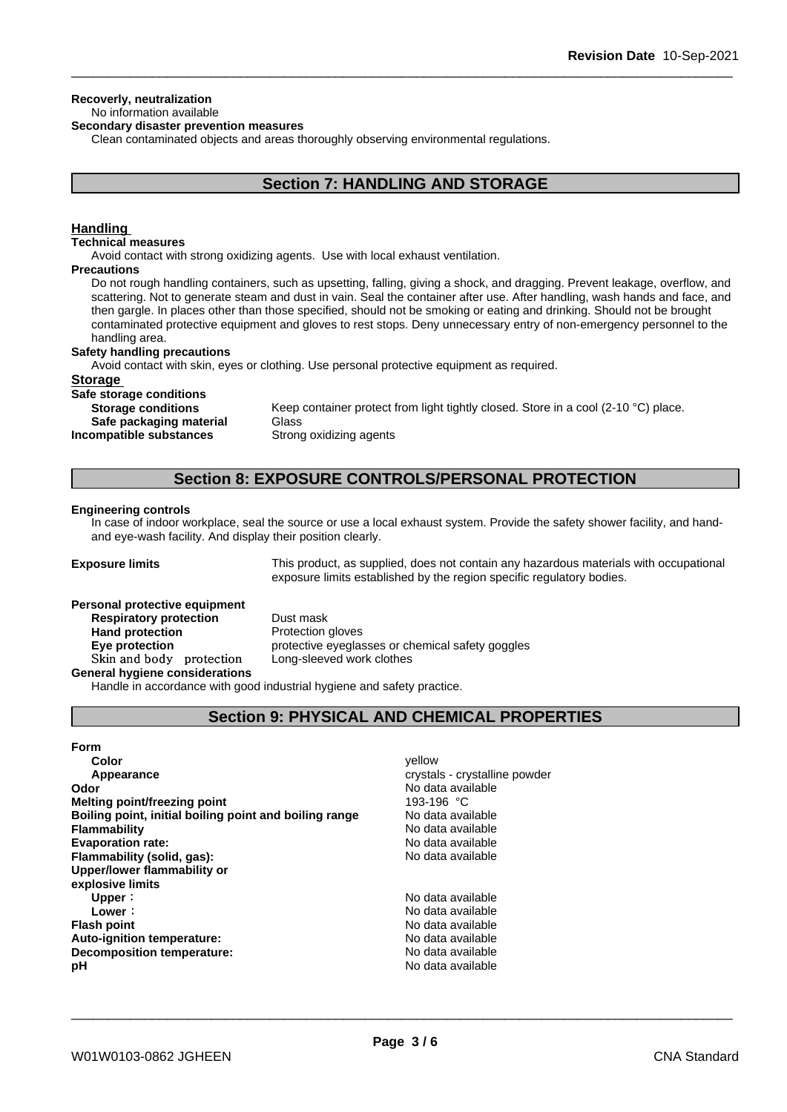### **Recoverly, neutralization**

### No information available

**Secondary disaster prevention measures**

Clean contaminated objects and areas thoroughly observing environmental regulations.

### **Section 7: HANDLING AND STORAGE**

### **Handling**

#### **Technical measures**

Avoid contact with strong oxidizing agents. Use with local exhaust ventilation.

#### **Precautions**

Do not rough handling containers, such as upsetting, falling, giving a shock, and dragging. Prevent leakage, overflow, and scattering. Not to generate steam and dust in vain. Seal the container after use. After handling, wash hands and face, and then gargle. In places other than those specified, should not be smoking or eating and drinking. Should not be brought contaminated protective equipment and gloves to rest stops. Deny unnecessary entry of non-emergency personnel to the handling area.

#### **Safety handling precautions**

Avoid contact with skin, eyes or clothing. Use personal protective equipment as required.

### **Storage**

**Safe storage conditions**

**Storage conditions** Keep container protect from light tightly closed. Store in a cool (2-10 °C) place. **Safe packaging material** Glass **Incompatible substances** Strong oxidizing agents

### **Section 8: EXPOSURE CONTROLS/PERSONAL PROTECTION**

#### **Engineering controls**

In case of indoor workplace, seal the source or use a local exhaust system. Provide the safety shower facility, and handand eye-wash facility. And display their position clearly.

**Exposure limits** This product, as supplied, does not contain any hazardous materials with occupational exposure limits established by the region specific regulatory bodies.

### **Personal protective equipment**

**Respiratory protection** Dust mask **Hand protection** Protection gloves **Eye protection protective eyeglasses or chemical safety goggles Skinandbody protection** Long-sleeved work clothes

**General hygiene considerations**

Handle in accordance with good industrial hygiene and safety practice.

### **Section 9: PHYSICAL AND CHEMICAL PROPERTIES**

| <b>Form</b>                                            |                               |
|--------------------------------------------------------|-------------------------------|
| Color                                                  | vellow                        |
| Appearance                                             | crystals - crystalline powder |
| Odor                                                   | No data available             |
| <b>Melting point/freezing point</b>                    | 193-196 °C                    |
| Boiling point, initial boiling point and boiling range | No data available             |
| <b>Flammability</b>                                    | No data available             |
| <b>Evaporation rate:</b>                               | No data available             |
| Flammability (solid, gas):                             | No data available             |
| Upper/lower flammability or                            |                               |
| explosive limits                                       |                               |
| Upper:                                                 | No data available             |
| Lower:                                                 | No data available             |
| <b>Flash point</b>                                     | No data available             |
| Auto-ignition temperature:                             | No data available             |
| Decomposition temperature:                             | No data available             |
| рH                                                     | No data available             |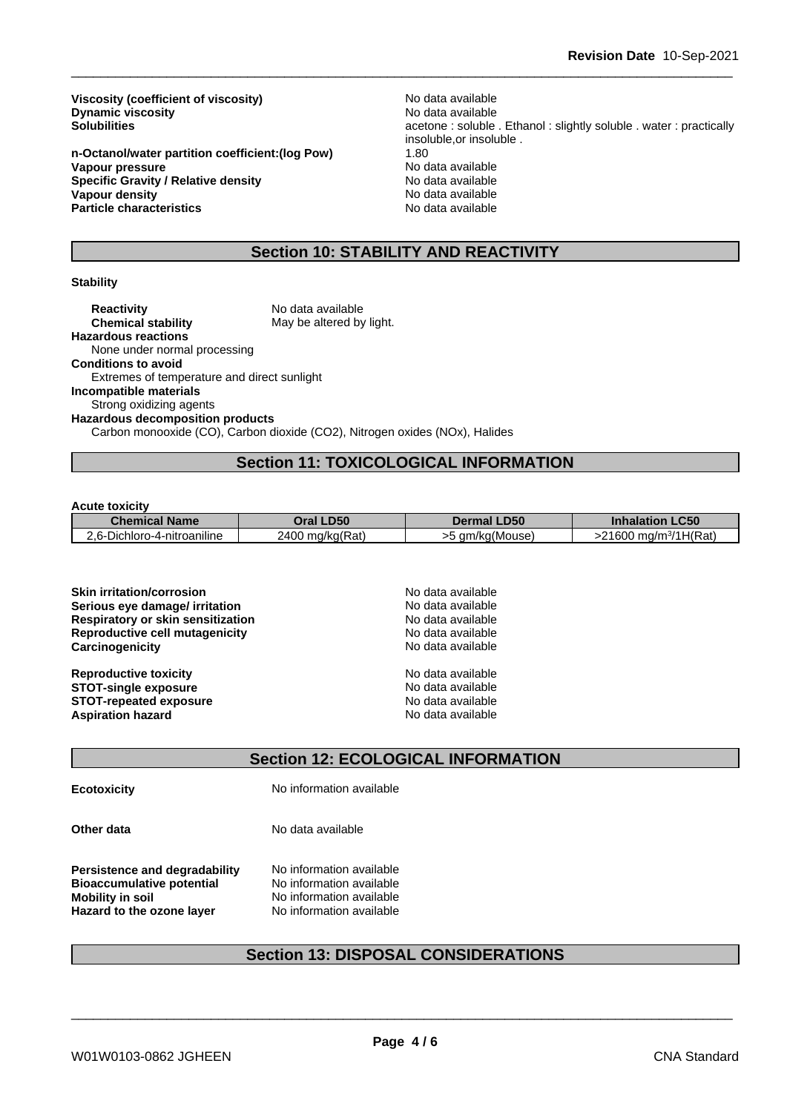**Viscosity (coefficient of viscosity)** No data available<br> **Dynamic viscosity** No data available **Dynamic viscosity**<br>Solubilities

**n-Octanol/water partition coefficient:(log Pow)** 1.80 **Vapour pressure**<br> **Specific Gravity / Relative density**<br> **No data available**<br>
No data available **Specific Gravity / Relative density and the Specific Gravity No data available**<br> **Vapour density No data available Vapour density Particle characteristics** No data available

acetone : soluble . Ethanol : slightly soluble . water : practically insoluble,or insoluble .

### **Section 10: STABILITY AND REACTIVITY**

### **Stability**

### **Section 11: TOXICOLOGICAL INFORMATION**

#### **Acute toxicity**

| <b>Chemical Name</b>                                            | I <sub>DE</sub>           | LD50<br>Dermal | C <sub>5</sub><br>.uu              |
|-----------------------------------------------------------------|---------------------------|----------------|------------------------------------|
| .<br>$\cdot$ $\sim$<br>ro-4-nitroaniline<br>Dichlore<br>$2.6 -$ | mg/kg(Rat)<br>2100<br>. . | . am/ka(Mouse  | H(Rat.<br>.<br>,,<br>`a/m<br>' nU. |

| <b>Skin irritation/corrosion</b>         | No data available |
|------------------------------------------|-------------------|
| Serious eye damage/ irritation           | No data available |
| <b>Respiratory or skin sensitization</b> | No data available |
| <b>Reproductive cell mutagenicity</b>    | No data available |
| Carcinogenicity                          | No data available |
| <b>Reproductive toxicity</b>             | No data available |
| <b>STOT-single exposure</b>              | No data available |
| <b>STOT-repeated exposure</b>            | No data available |
| <b>Aspiration hazard</b>                 | No data available |

### **Section 12: ECOLOGICAL INFORMATION**

**Ecotoxicity No information available** 

**Other data** No data available

**Persistence and degradability** No information available<br>**Bioaccumulative potential** No information available **Bioaccumulative potential<br>Mobility in soil Hazard to the ozone layer** No information available

**No information available** 

### **Section 13: DISPOSAL CONSIDERATIONS**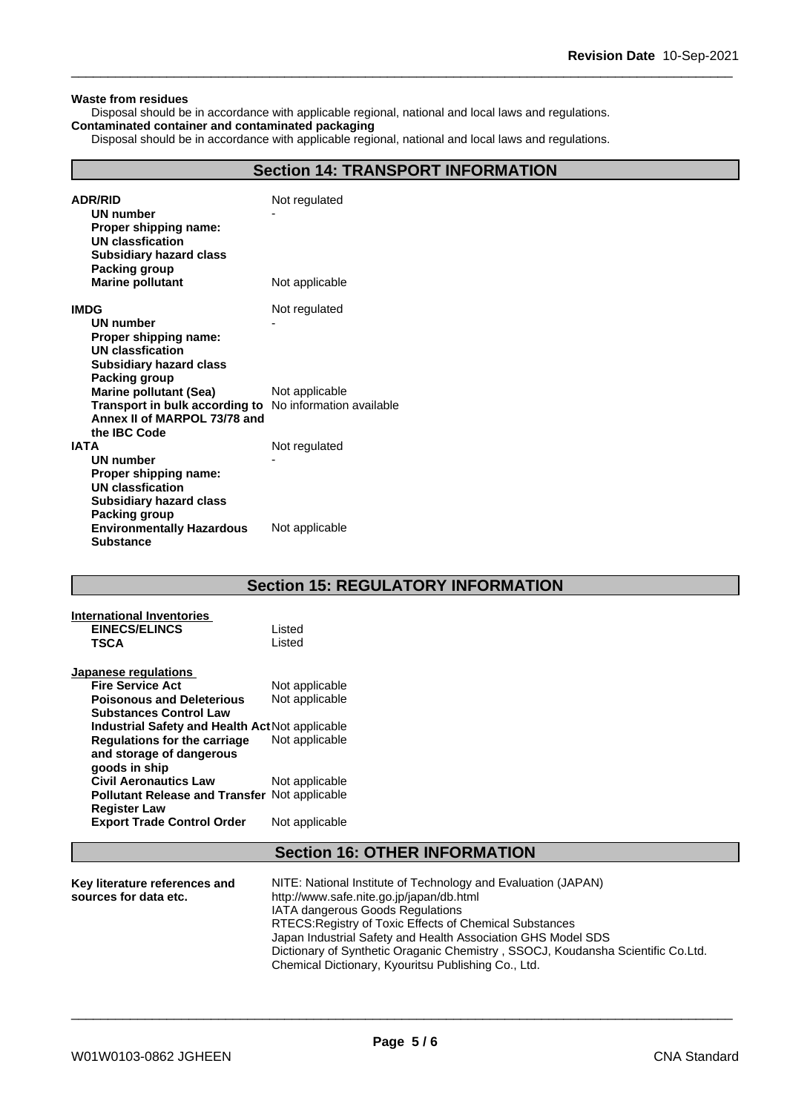#### **Waste from residues**

Disposal should be in accordance with applicable regional, national and local laws and regulations. **Contaminated container and contaminated packaging**

Disposal should be in accordance with applicable regional, national and local laws and regulations.

### **Section 14: TRANSPORT INFORMATION**

| <b>ADR/RID</b><br>UN number<br>Proper shipping name:<br><b>UN classfication</b><br><b>Subsidiary hazard class</b><br>Packing group              | Not regulated  |
|-------------------------------------------------------------------------------------------------------------------------------------------------|----------------|
| <b>Marine pollutant</b>                                                                                                                         | Not applicable |
| <b>IMDG</b><br>UN number<br>Proper shipping name:<br>UN classfication<br><b>Subsidiary hazard class</b><br><b>Packing group</b>                 | Not regulated  |
| <b>Marine pollutant (Sea)</b><br><b>Transport in bulk according to</b> No information available<br>Annex II of MARPOL 73/78 and<br>the IBC Code | Not applicable |
| <b>IATA</b><br><b>UN number</b><br>Proper shipping name:<br>UN classfication<br><b>Subsidiary hazard class</b><br>Packing group                 | Not regulated  |
| <b>Environmentally Hazardous</b><br><b>Substance</b>                                                                                            | Not applicable |

### **Section 15: REGULATORY INFORMATION**

| <b>International Inventories</b>                     |                |
|------------------------------------------------------|----------------|
| <b>EINECS/ELINCS</b>                                 | Listed         |
| <b>TSCA</b>                                          | Listed         |
| <b>Japanese regulations</b>                          |                |
| <b>Fire Service Act</b>                              | Not applicable |
| <b>Poisonous and Deleterious</b>                     | Not applicable |
| <b>Substances Control Law</b>                        |                |
| Industrial Safety and Health Act Not applicable      |                |
| Regulations for the carriage                         | Not applicable |
| and storage of dangerous                             |                |
| goods in ship                                        |                |
| <b>Civil Aeronautics Law</b>                         | Not applicable |
| <b>Pollutant Release and Transfer Not applicable</b> |                |
| <b>Register Law</b>                                  |                |
| <b>Export Trade Control Order</b>                    | Not applicable |
|                                                      |                |

## **Section 16: OTHER INFORMATION**

| Key literature references and<br>sources for data etc. | NITE: National Institute of Technology and Evaluation (JAPAN)<br>http://www.safe.nite.go.jp/japan/db.html |
|--------------------------------------------------------|-----------------------------------------------------------------------------------------------------------|
|                                                        | <b>IATA dangerous Goods Regulations</b>                                                                   |
|                                                        | RTECS: Registry of Toxic Effects of Chemical Substances                                                   |
|                                                        | Japan Industrial Safety and Health Association GHS Model SDS                                              |
|                                                        | Dictionary of Synthetic Oraganic Chemistry, SSOCJ, Koudansha Scientific Co.Ltd.                           |
|                                                        | Chemical Dictionary, Kyouritsu Publishing Co., Ltd.                                                       |